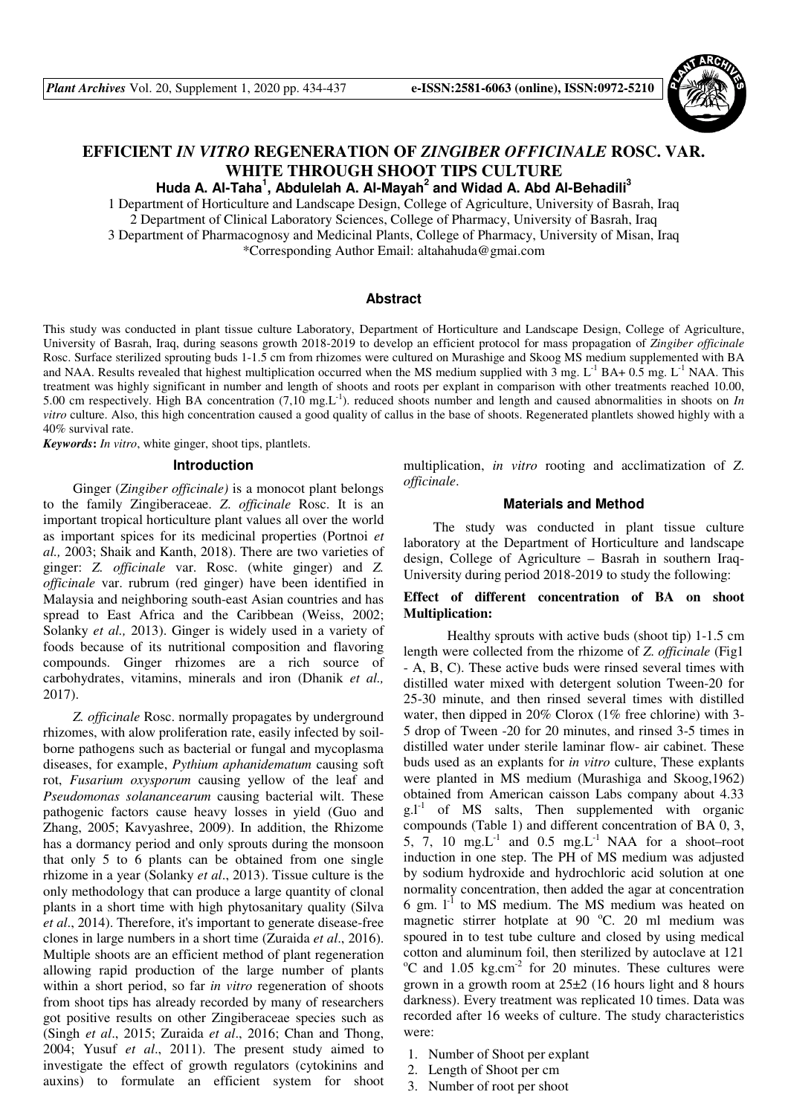

# **EFFICIENT** *IN VITRO* **REGENERATION OF** *ZINGIBER OFFICINALE* **ROSC. VAR. WHITE THROUGH SHOOT TIPS CULTURE**

Huda A. Al-Taha<sup>1</sup>, Abdulelah A. Al-Mayah<sup>2</sup> and Widad A. Abd Al-Behadili<sup>3</sup>

1 Department of Horticulture and Landscape Design, College of Agriculture, University of Basrah, Iraq 2 Department of Clinical Laboratory Sciences, College of Pharmacy, University of Basrah, Iraq 3 Department of Pharmacognosy and Medicinal Plants, College of Pharmacy, University of Misan, Iraq \*Corresponding Author Email: altahahuda@gmai.com

## **Abstract**

This study was conducted in plant tissue culture Laboratory, Department of Horticulture and Landscape Design, College of Agriculture, University of Basrah, Iraq, during seasons growth 2018-2019 to develop an efficient protocol for mass propagation of *Zingiber officinale*  Rosc. Surface sterilized sprouting buds 1-1.5 cm from rhizomes were cultured on Murashige and Skoog MS medium supplemented with BA and NAA. Results revealed that highest multiplication occurred when the MS medium supplied with  $3 \text{ mg}$ . L<sup>-1</sup> BA+ 0.5 mg. L<sup>-1</sup> NAA. This treatment was highly significant in number and length of shoots and roots per explant in comparison with other treatments reached 10.00, 5.00 cm respectively. High BA concentration (7,10 mg.L-1). reduced shoots number and length and caused abnormalities in shoots on *In vitro* culture. Also, this high concentration caused a good quality of callus in the base of shoots. Regenerated plantlets showed highly with a 40% survival rate.

*Keywords***:** *In vitro*, white ginger, shoot tips, plantlets.

#### **Introduction**

Ginger (*Zingiber officinale)* is a monocot plant belongs to the family Zingiberaceae. *Z*. *officinale* Rosc. It is an important tropical horticulture plant values all over the world as important spices for its medicinal properties (Portnoi *et al.,* 2003; Shaik and Kanth, 2018). There are two varieties of ginger: *Z. officinale* var. Rosc. (white ginger) and *Z. officinale* var. rubrum (red ginger) have been identified in Malaysia and neighboring south-east Asian countries and has spread to East Africa and the Caribbean (Weiss, 2002; Solanky *et al.,* 2013). Ginger is widely used in a variety of foods because of its nutritional composition and flavoring compounds. Ginger rhizomes are a rich source of carbohydrates, vitamins, minerals and iron (Dhanik *et al.,* 2017).

*Z. officinale* Rosc. normally propagates by underground rhizomes, with alow proliferation rate, easily infected by soilborne pathogens such as bacterial or fungal and mycoplasma diseases, for example, *Pythium aphanidematum* causing soft rot, *Fusarium oxysporum* causing yellow of the leaf and *Pseudomonas solanancearum* causing bacterial wilt. These pathogenic factors cause heavy losses in yield (Guo and Zhang, 2005; Kavyashree, 2009). In addition, the Rhizome has a dormancy period and only sprouts during the monsoon that only 5 to 6 plants can be obtained from one single rhizome in a year (Solanky *et al*., 2013). Tissue culture is the only methodology that can produce a large quantity of clonal plants in a short time with high phytosanitary quality (Silva *et al*., 2014). Therefore, it's important to generate disease-free clones in large numbers in a short time (Zuraida *et al*., 2016). Multiple shoots are an efficient method of plant regeneration allowing rapid production of the large number of plants within a short period, so far *in vitro* regeneration of shoots from shoot tips has already recorded by many of researchers got positive results on other Zingiberaceae species such as (Singh *et al*., 2015; Zuraida *et al*., 2016; Chan and Thong, 2004; Yusuf *et al*., 2011). The present study aimed to investigate the effect of growth regulators (cytokinins and auxins) to formulate an efficient system for shoot multiplication, *in vitro* rooting and acclimatization of *Z*. *officinale*.

#### **Materials and Method**

The study was conducted in plant tissue culture laboratory at the Department of Horticulture and landscape design, College of Agriculture – Basrah in southern Iraq-University during period 2018-2019 to study the following:

## **Effect of different concentration of BA on shoot Multiplication:**

 Healthy sprouts with active buds (shoot tip) 1-1.5 cm length were collected from the rhizome of *Z*. *officinale* (Fig1 - A, B, C). These active buds were rinsed several times with distilled water mixed with detergent solution Tween-20 for 25-30 minute, and then rinsed several times with distilled water, then dipped in 20% Clorox (1% free chlorine) with 3- 5 drop of Tween -20 for 20 minutes, and rinsed 3-5 times in distilled water under sterile laminar flow- air cabinet. These buds used as an explants for *in vitro* culture, These explants were planted in MS medium (Murashiga and Skoog,1962) obtained from American caisson Labs company about 4.33  $g.l<sup>-1</sup>$  of MS salts, Then supplemented with organic compounds (Table 1) and different concentration of BA 0, 3, 5, 7, 10 mg. $L^{-1}$  and 0.5 mg. $L^{-1}$  NAA for a shoot–root induction in one step. The PH of MS medium was adjusted by sodium hydroxide and hydrochloric acid solution at one normality concentration, then added the agar at concentration 6 gm.  $1^{-1}$  to MS medium. The MS medium was heated on magnetic stirrer hotplate at  $90^{\circ}$ C. 20 ml medium was spoured in to test tube culture and closed by using medical cotton and aluminum foil, then sterilized by autoclave at 121  $\rm{^{\circ}C}$  and 1.05 kg.cm<sup>-2</sup> for 20 minutes. These cultures were grown in a growth room at 25±2 (16 hours light and 8 hours darkness). Every treatment was replicated 10 times. Data was recorded after 16 weeks of culture. The study characteristics were:

- 1. Number of Shoot per explant
- 2. Length of Shoot per cm
- 3. Number of root per shoot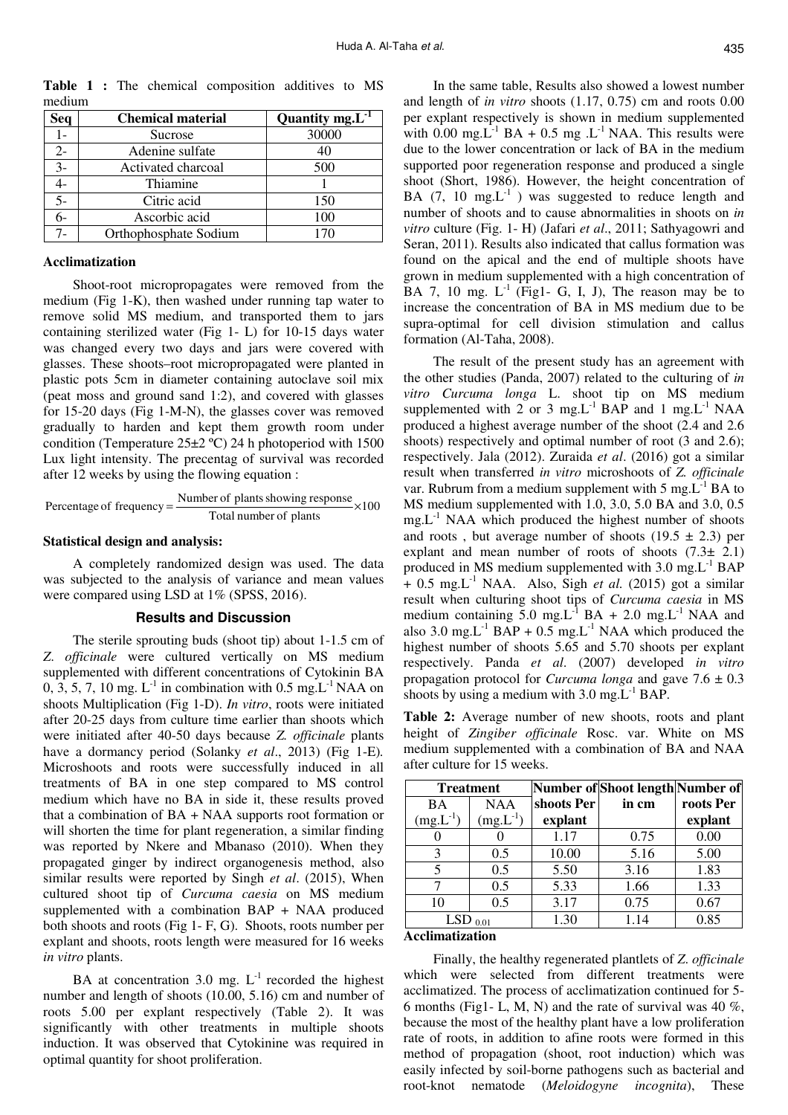**Seq Chemical material Quantity mg.L-1** 1- Sucrose 30000 2- Adenine sulfate 1 40 3- Activated charcoal 500 4- Thiamine 1 5- Citric acid 150 6- Ascorbic acid 100 7- Orthophosphate Sodium 170

**Table 1 :** The chemical composition additives to MS medium

## **Acclimatization**

Shoot-root micropropagates were removed from the medium (Fig 1-K), then washed under running tap water to remove solid MS medium, and transported them to jars containing sterilized water (Fig 1- L) for 10-15 days water was changed every two days and jars were covered with glasses. These shoots–root micropropagated were planted in plastic pots 5cm in diameter containing autoclave soil mix (peat moss and ground sand 1:2), and covered with glasses for 15-20 days (Fig 1-M-N), the glasses cover was removed gradually to harden and kept them growth room under condition (Temperature 25±2 ºC) 24 h photoperiod with 1500 Lux light intensity. The precentag of survival was recorded after 12 weeks by using the flowing equation :

Percentage of frequency = 
$$
\frac{\text{Number of plants showing response}}{\text{Total number of plants}} \times 100
$$

#### **Statistical design and analysis:**

A completely randomized design was used. The data was subjected to the analysis of variance and mean values were compared using LSD at 1% (SPSS, 2016).

## **Results and Discussion**

The sterile sprouting buds (shoot tip) about 1-1.5 cm of *Z*. *officinale* were cultured vertically on MS medium supplemented with different concentrations of Cytokinin BA  $0, 3, 5, 7, 10$  mg.  $L^{-1}$  in combination with  $0.5$  mg.  $L^{-1}$  NAA on shoots Multiplication (Fig 1-D). *In vitro*, roots were initiated after 20-25 days from culture time earlier than shoots which were initiated after 40-50 days because *Z. officinale* plants have a dormancy period (Solanky *et al*., 2013) (Fig 1-E)*.*  Microshoots and roots were successfully induced in all treatments of BA in one step compared to MS control medium which have no BA in side it, these results proved that a combination of BA + NAA supports root formation or will shorten the time for plant regeneration, a similar finding was reported by Nkere and Mbanaso (2010). When they propagated ginger by indirect organogenesis method, also similar results were reported by Singh *et al*. (2015), When cultured shoot tip of *Curcuma caesia* on MS medium supplemented with a combination BAP + NAA produced both shoots and roots (Fig 1- F, G). Shoots, roots number per explant and shoots, roots length were measured for 16 weeks *in vitro* plants.

BA at concentration 3.0 mg.  $L^{-1}$  recorded the highest number and length of shoots (10.00, 5.16) cm and number of roots 5.00 per explant respectively (Table 2). It was significantly with other treatments in multiple shoots induction. It was observed that Cytokinine was required in optimal quantity for shoot proliferation.

In the same table, Results also showed a lowest number and length of *in vitro* shoots (1.17, 0.75) cm and roots 0.00 per explant respectively is shown in medium supplemented with  $0.00 \text{ mg.L}^{-1}$  BA + 0.5 mg .L<sup>-1</sup> NAA. This results were due to the lower concentration or lack of BA in the medium supported poor regeneration response and produced a single shoot (Short, 1986). However, the height concentration of BA (7, 10 mg, $L^{-1}$ ) was suggested to reduce length and number of shoots and to cause abnormalities in shoots on *in vitro* culture (Fig. 1- H) (Jafari *et al*., 2011; Sathyagowri and Seran, 2011). Results also indicated that callus formation was found on the apical and the end of multiple shoots have grown in medium supplemented with a high concentration of BA 7, 10 mg.  $L^{-1}$  (Fig1- G, I, J), The reason may be to increase the concentration of BA in MS medium due to be supra-optimal for cell division stimulation and callus formation (Al-Taha, 2008).

The result of the present study has an agreement with the other studies (Panda, 2007) related to the culturing of *in vitro Curcuma longa* L. shoot tip on MS medium supplemented with 2 or 3 mg.L<sup>-1</sup> BAP and 1 mg.L<sup>-1</sup> NAA produced a highest average number of the shoot (2.4 and 2.6 shoots) respectively and optimal number of root  $(3 \text{ and } 2.6)$ ; respectively. Jala (2012). Zuraida *et al*. (2016) got a similar result when transferred *in vitro* microshoots of *Z. officinale*  var. Rubrum from a medium supplement with  $5 \text{ mg} L^{-1} \text{ BA}$  to MS medium supplemented with 1.0, 3.0, 5.0 BA and 3.0, 0.5  $mg.L^{-1}$  NAA which produced the highest number of shoots and roots, but average number of shoots  $(19.5 \pm 2.3)$  per explant and mean number of roots of shoots  $(7.3 \pm 2.1)$ produced in MS medium supplemented with  $3.0 \text{ mg}$ . L<sup>-1</sup> BAP  $+ 0.5$  mg.L<sup>-1</sup> NAA. Also, Sigh *et al.* (2015) got a similar result when culturing shoot tips of *Curcuma caesia* in MS medium containing  $5.0 \text{ mg}$ . L<sup>-1</sup> BA + 2.0 mg. L<sup>-1</sup> NAA and also 3.0 mg.L<sup>-1</sup> BAP +  $0.5$  mg.L<sup>-1</sup> NAA which produced the highest number of shoots 5.65 and 5.70 shoots per explant respectively. Panda *et al*. (2007) developed *in vitro* propagation protocol for *Curcuma longa* and gave 7.6 ± 0.3 shoots by using a medium with  $3.0 \text{ mg}$ .  $L^{-1}$  BAP.

**Table 2:** Average number of new shoots, roots and plant height of *Zingiber officinale* Rosc. var. White on MS medium supplemented with a combination of BA and NAA after culture for 15 weeks.

| <b>Treatment</b> |               |            | Number of Shoot length Number of |           |
|------------------|---------------|------------|----------------------------------|-----------|
| BA               | <b>NAA</b>    | shoots Per | in cm                            | roots Per |
| $(mg.L^{-1})$    | $(mg.L^{-1})$ | explant    |                                  | explant   |
|                  |               | 1.17       | 0.75                             | 0.00      |
| 3                | 0.5           | 10.00      | 5.16                             | 5.00      |
| 5                | 0.5           | 5.50       | 3.16                             | 1.83      |
|                  | 0.5           | 5.33       | 1.66                             | 1.33      |
| 10               | 0.5           | 3.17       | 0.75                             | 0.67      |
| LSI              |               | 1.30       | 1.14                             | 0.85      |

#### **Acclimatization**

Finally, the healthy regenerated plantlets of *Z*. *officinale* which were selected from different treatments were acclimatized. The process of acclimatization continued for 5- 6 months (Fig1- L, M, N) and the rate of survival was 40  $\%$ , because the most of the healthy plant have a low proliferation rate of roots, in addition to afine roots were formed in this method of propagation (shoot, root induction) which was easily infected by soil-borne pathogens such as bacterial and root-knot nematode (*Meloidogyne incognita*), These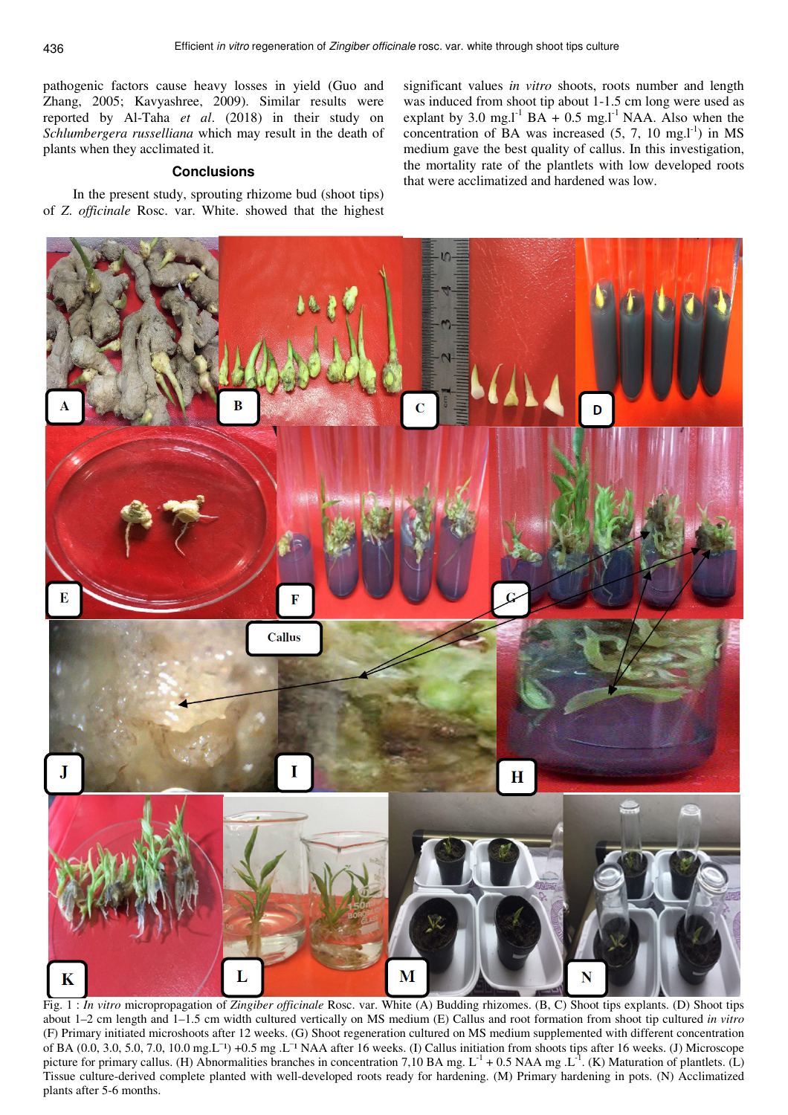pathogenic factors cause heavy losses in yield (Guo and Zhang, 2005; Kavyashree, 2009). Similar results were reported by Al-Taha *et al*. (2018) in their study on *Schlumbergera russelliana* which may result in the death of plants when they acclimated it.

## **Conclusions**

In the present study, sprouting rhizome bud (shoot tips) of *Z*. *officinale* Rosc. var. White. showed that the highest

significant values *in vitro* shoots, roots number and length was induced from shoot tip about 1-1.5 cm long were used as explant by 3.0 mg. $I^1$  BA + 0.5 mg. $I^1$  NAA. Also when the concentration of BA was increased  $(5, 7, 10 \text{ mg.}1^{1})$  in MS medium gave the best quality of callus. In this investigation, the mortality rate of the plantlets with low developed roots that were acclimatized and hardened was low.



Fig. 1 : *In vitro* micropropagation of *Zingiber officinale* Rosc. var. White (A) Budding rhizomes. (B, C) Shoot tips explants. (D) Shoot tips about 1–2 cm length and 1–1.5 cm width cultured vertically on MS medium (E) Callus and root formation from shoot tip cultured *in vitro* (F) Primary initiated microshoots after 12 weeks. (G) Shoot regeneration cultured on MS medium supplemented with different concentration of BA (0.0, 3.0, 5.0, 7.0, 10.0 mg.L<sup>-1</sup>) +0.5 mg .L<sup>-1</sup> NAA after 16 weeks. (I) Callus initiation from shoots tips after 16 weeks. (J) Microscope picture for primary callus. (H) Abnormalities branches in concentration 7,10 BA mg.  $L^{-1}$  + 0.5 NAA mg . $L^{-1}$ . (K) Maturation of plantlets. (L) Tissue culture-derived complete planted with well-developed roots ready for hardening. (M) Primary hardening in pots. (N) Acclimatized plants after 5-6 months.